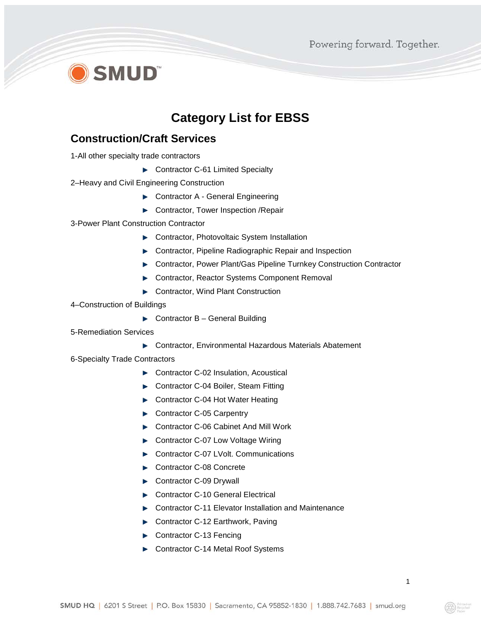# **D** SMUD

### **Category List for EBSS**

#### **Construction/Craft Services**

1-All other specialty trade contractors

- ▶ Contractor C-61 Limited Specialty
- 2–Heavy and Civil Engineering Construction
	- ▶ Contractor A General Engineering
	- ▶ Contractor, Tower Inspection /Repair
- 3-Power Plant Construction Contractor
	- ▶ Contractor, Photovoltaic System Installation
	- **EXECONDER CONTACTS:** Contractor, Pipeline Radiographic Repair and Inspection
	- ▶ Contractor, Power Plant/Gas Pipeline Turnkey Construction Contractor
	- ▶ Contractor, Reactor Systems Component Removal
	- ▶ Contractor, Wind Plant Construction
- 4–Construction of Buildings
	- $\blacktriangleright$  Contractor B General Building
- 5-Remediation Services
	- ▶ Contractor, Environmental Hazardous Materials Abatement
- 6-Specialty Trade Contractors
	- ▶ Contractor C-02 Insulation, Acoustical
	- ▶ Contractor C-04 Boiler, Steam Fitting
	- ▶ Contractor C-04 Hot Water Heating
	- Contractor C-05 Carpentry
	- ▶ Contractor C-06 Cabinet And Mill Work
	- ► Contractor C-07 Low Voltage Wiring
	- ▶ Contractor C-07 LVolt. Communications
	- Contractor C-08 Concrete
	- Contractor C-09 Drywall
	- ▶ Contractor C-10 General Electrical
	- ▶ Contractor C-11 Elevator Installation and Maintenance
	- Contractor C-12 Earthwork, Paving
	- Contractor C-13 Fencing
	- ► Contractor C-14 Metal Roof Systems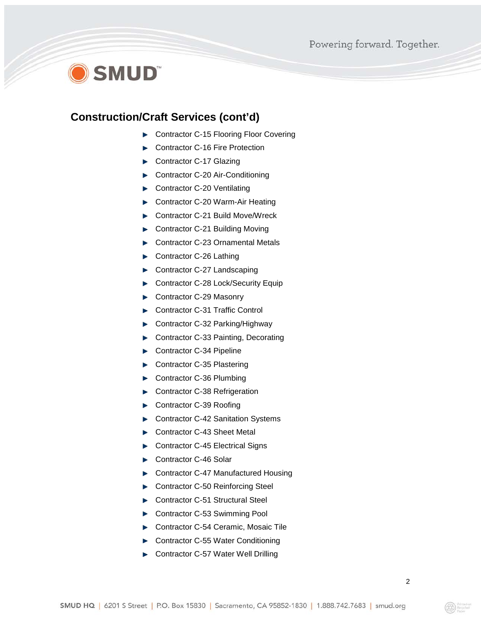# **SMUD**

#### **Construction/Craft Services (cont'd)**

- ▶ Contractor C-15 Flooring Floor Covering
- Contractor C-16 Fire Protection ь
- Contractor C-17 Glazing
- ► Contractor C-20 Air-Conditioning
- Contractor C-20 Ventilating ь
- ► Contractor C-20 Warm-Air Heating
- Contractor C-21 Build Move/Wreck
- ► Contractor C-21 Building Moving
- Contractor C-23 Ornamental Metals h.
- Contractor C-26 Lathing
- ► Contractor C-27 Landscaping
- Contractor C-28 Lock/Security Equip
- Contractor C-29 Masonry b.
- Contractor C-31 Traffic Control
- Contractor C-32 Parking/Highway
- Contractor C-33 Painting, Decorating
- Contractor C-34 Pipeline
- Contractor C-35 Plastering
- Contractor C-36 Plumbing ь
- Contractor C-38 Refrigeration
- Contractor C-39 Roofing
- Contractor C-42 Sanitation Systems ь
- Contractor C-43 Sheet Metal
- Contractor C-45 Electrical Signs
- Contractor C-46 Solar
- Contractor C-47 Manufactured Housing
- Contractor C-50 Reinforcing Steel
- Contractor C-51 Structural Steel
- Contractor C-53 Swimming Pool
- Contractor C-54 Ceramic, Mosaic Tile
- Contractor C-55 Water Conditioning
- Contractor C-57 Water Well Drilling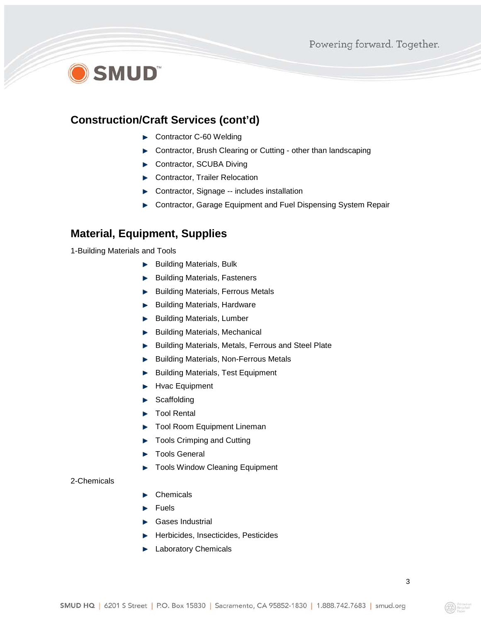# **SMUD**

#### **Construction/Craft Services (cont'd)**

- Contractor C-60 Welding
- **EXECONTACTORY CONTROLLY CONTROLLY CONTROLLY CONTROLLY CONTROLLY CONTROLLY CONTROLLY CONTROLLY CONTROLLY CONTROLLY CONTROLLY CONTROLLY CONTROLLY CONTROLLY CONTROLLY CONTROLLY CONTROLLY CONTROLLY CONTROLLY CONTROLLY CONTROL**
- Contractor, SCUBA Diving
- Contractor, Trailer Relocation
- ▶ Contractor, Signage -- includes installation
- **EX Contractor, Garage Equipment and Fuel Dispensing System Repair**

#### **Material, Equipment, Supplies**

1-Building Materials and Tools

- $\blacktriangleright$  Building Materials, Bulk
- Building Materials, Fasteners **Barrier**
- **Building Materials, Ferrous Metals**
- Building Materials, Hardware **Base**
- Building Materials, Lumber **P**
- $\blacktriangleright$  Building Materials, Mechanical
- Building Materials, Metals, Ferrous and Steel Plate  $\mathbf{z}$
- **Building Materials, Non-Ferrous Metals**
- Building Materials, Test Equipment
- Hvac Equipment
- Scaffolding
- Tool Rental
- Tool Room Equipment Lineman
- Tools Crimping and Cutting
- Tools General
- Tools Window Cleaning Equipment

#### 2-Chemicals

- Chemicals
- Fuels
- Gases Industrial
- Herbicides, Insecticides, Pesticides
- Laboratory Chemicals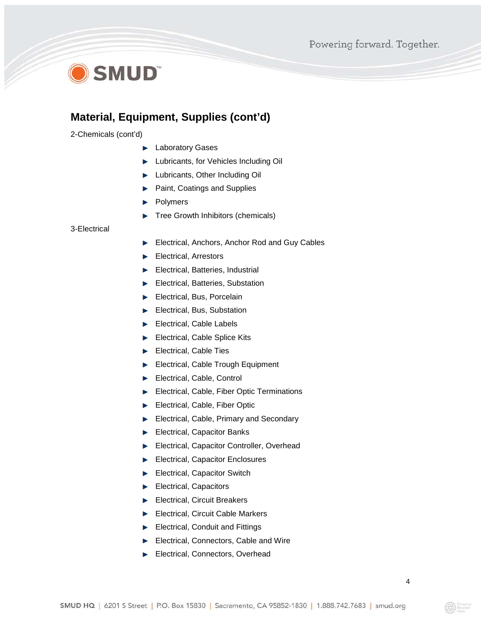## **SMUD**

### **Material, Equipment, Supplies (cont'd)**

2-Chemicals (cont'd)

- **Laboratory Gases**
- **Lubricants, for Vehicles Including Oil**
- **Lubricants, Other Including Oil**
- b. Paint, Coatings and Supplies
- Polymers
- Tree Growth Inhibitors (chemicals)

#### 3-Electrical

- Electrical, Anchors, Anchor Rod and Guy Cables
- Electrical, Arrestors
- Electrical, Batteries, Industrial
- Electrical, Batteries, Substation
- Electrical, Bus, Porcelain
- Electrical, Bus, Substation
- Electrical, Cable Labels
- Electrical, Cable Splice Kits
- Electrical, Cable Ties
- Electrical, Cable Trough Equipment
- Electrical, Cable, Control
- Electrical, Cable, Fiber Optic Terminations
- Electrical, Cable, Fiber Optic
- Electrical, Cable, Primary and Secondary  $\mathbf{r}$
- Electrical, Capacitor Banks
- Electrical, Capacitor Controller, Overhead  $\mathbf{z}$
- Electrical, Capacitor Enclosures
- Electrical, Capacitor Switch
- Electrical, Capacitors
- Electrical, Circuit Breakers
- Electrical, Circuit Cable Markers
- Electrical, Conduit and Fittings
- Electrical, Connectors, Cable and Wire
- Electrical, Connectors, Overhead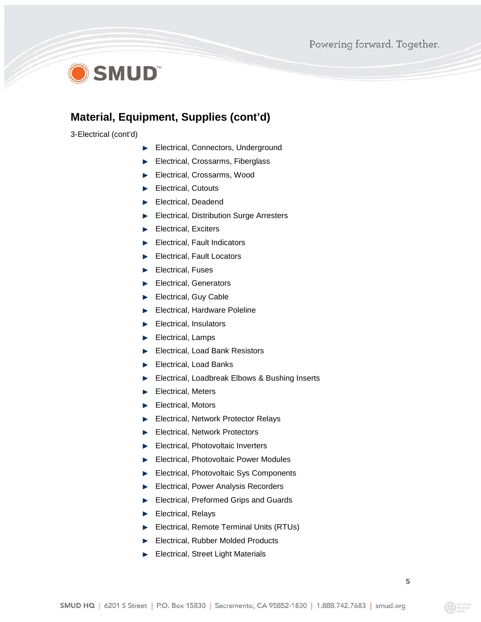## **OSMUD**

### **Material, Equipment, Supplies (cont'd)**

3-Electrical (cont'd)

- Electrical, Connectors, Underground
- Electrical, Crossarms, Fiberglass  $\mathcal{L}_{\mathcal{P}}$
- Electrical, Crossarms, Wood
- Electrical, Cutouts
- Electrical, Deadend
- Electrical, Distribution Surge Arresters
- Electrical, Exciters
- Electrical, Fault Indicators
- Electrical, Fault Locators
- Electrical, Fuses
- Electrical, Generators
- Electrical, Guy Cable
- Electrical, Hardware Poleline
- Electrical, Insulators
- Electrical, Lamps
- Electrical, Load Bank Resistors
- Electrical, Load Banks
- Electrical, Loadbreak Elbows & Bushing Inserts
- Electrical, Meters
- Electrical, Motors
- Electrical, Network Protector Relays
- Electrical, Network Protectors
- Electrical, Photovoltaic Inverters Þ.
- Electrical, Photovoltaic Power Modules
- Electrical, Photovoltaic Sys Components
- Electrical, Power Analysis Recorders
- Electrical, Preformed Grips and Guards
- Electrical, Relays
- Electrical, Remote Terminal Units (RTUs)
- Electrical, Rubber Molded Products
- Electrical, Street Light Materials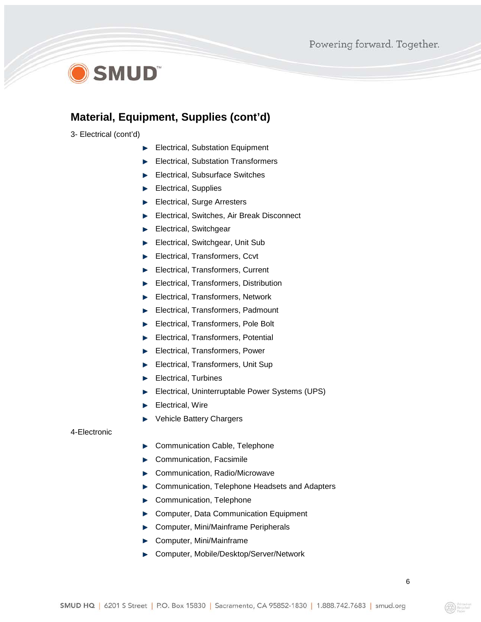## **SMUD**

#### **Material, Equipment, Supplies (cont'd)**

3- Electrical (cont'd)

- Electrical, Substation Equipment
- Electrical, Substation Transformers
- Electrical, Subsurface Switches
- Electrical, Supplies
- Electrical, Surge Arresters
- Electrical, Switches, Air Break Disconnect **Barrier**
- Electrical, Switchgear
- Electrical, Switchgear, Unit Sub
- Electrical, Transformers, Ccvt
- Electrical, Transformers, Current
- Electrical, Transformers, Distribution
- Electrical, Transformers, Network  $\blacktriangleright$
- Electrical, Transformers, Padmount
- Electrical, Transformers, Pole Bolt
- Electrical, Transformers, Potential
- Electrical, Transformers, Power
- Electrical, Transformers, Unit Sup
- Electrical, Turbines
- Electrical, Uninterruptable Power Systems (UPS)
- Electrical, Wire
- Vehicle Battery Chargers þ.

#### 4-Electronic

- Communication Cable, Telephone Þ
- Communication, Facsimile Þ
- Communication, Radio/Microwave
- Communication, Telephone Headsets and Adapters  $\mathbf{r}$
- Communication, Telephone
- Computer, Data Communication Equipment
- Computer, Mini/Mainframe Peripherals **Base**
- Computer, Mini/Mainframe
- ▶ Computer, Mobile/Desktop/Server/Network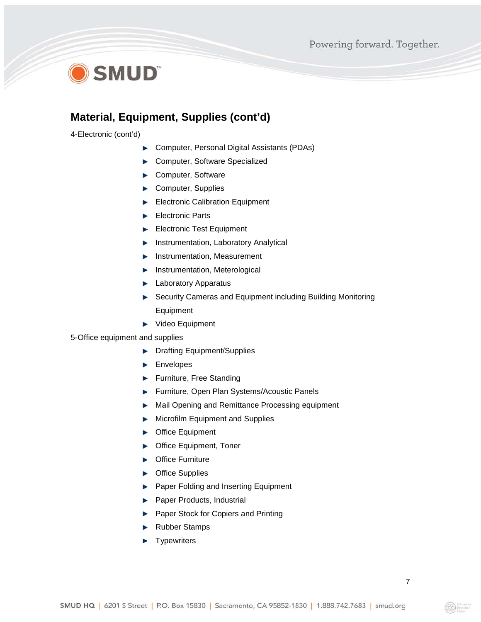## **OSMUD**

### **Material, Equipment, Supplies (cont'd)**

4-Electronic (cont'd)

- Computer, Personal Digital Assistants (PDAs) Þ
- Computer, Software Specialized
- Computer, Software
- $\mathbf{z}$ Computer, Supplies
- Electronic Calibration Equipment
- Electronic Parts
- Electronic Test Equipment
- Instrumentation, Laboratory Analytical p.
- Instrumentation, Measurement Þ
- **Instrumentation, Meterological**
- **Laboratory Apparatus**
- ▶ Security Cameras and Equipment including Building Monitoring **Equipment**
- ▶ Video Equipment

5-Office equipment and supplies

- Drafting Equipment/Supplies b.
- Envelopes
- Furniture, Free Standing **Barrier**
- Furniture, Open Plan Systems/Acoustic Panels
- Mail Opening and Remittance Processing equipment
- Microfilm Equipment and Supplies **Base**
- **Deffice Equipment**
- ▶ Office Equipment, Toner
- **Delachter Contract**
- Office Supplies
- Paper Folding and Inserting Equipment  $\mathbf{r}$
- Paper Products, Industrial
- Paper Stock for Copiers and Printing
- Rubber Stamps ь
- **Typewriters** Þ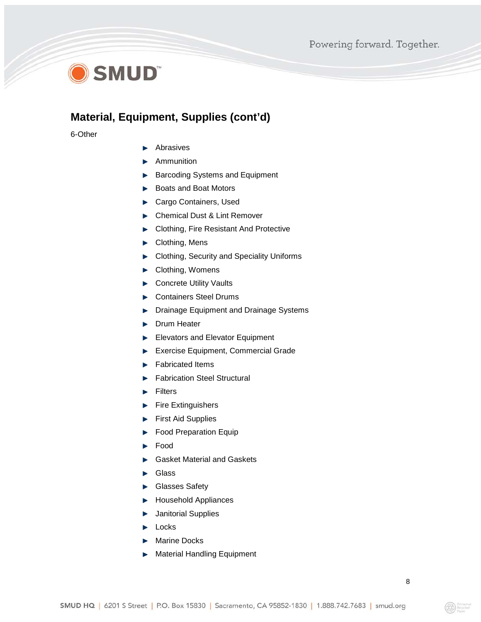

### **Material, Equipment, Supplies (cont'd)**

6-Other

- Abrasives
- **Ammunition**
- Barcoding Systems and Equipment
- ► Boats and Boat Motors
- Cargo Containers, Used
- ► Chemical Dust & Lint Remover
- ► Clothing, Fire Resistant And Protective
- ▶ Clothing, Mens
- Clothing, Security and Speciality Uniforms
- ▶ Clothing, Womens
- Concrete Utility Vaults
- Containers Steel Drums
- **Drainage Equipment and Drainage Systems**
- **Drum Heater**
- Elevators and Elevator Equipment
- Exercise Equipment, Commercial Grade
- Fabricated Items
- Fabrication Steel Structural
- Filters
- $\blacktriangleright$  Fire Extinguishers
- First Aid Supplies
- Food Preparation Equip
- Food
- Gasket Material and Gaskets
- Glass
- Glasses Safety
- **Household Appliances**
- Janitorial Supplies
- $\blacktriangleright$  Locks
- Marine Docks
- Material Handling Equipment**Barriotte**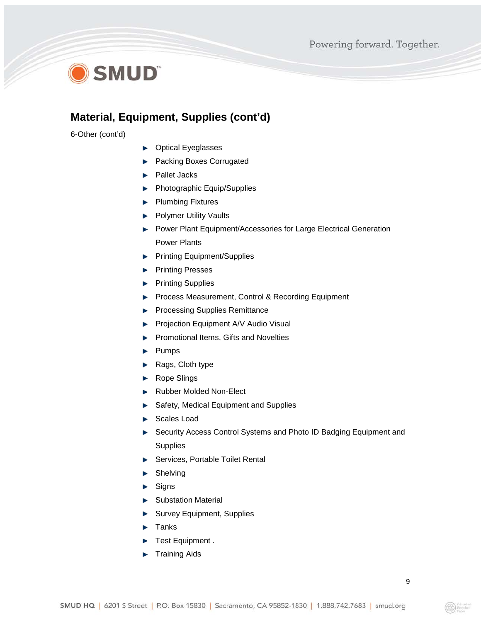

#### **Material, Equipment, Supplies (cont'd)**

6-Other (cont'd)

- **Depay Depay Depayses**
- **Packing Boxes Corrugated**
- **Pallet Jacks**
- **Photographic Equip/Supplies**
- **Plumbing Fixtures**
- **Polymer Utility Vaults**
- **Power Plant Equipment/Accessories for Large Electrical Generation** Power Plants
- **Printing Equipment/Supplies**
- **Printing Presses**
- **Printing Supplies**
- Process Measurement, Control & Recording Equipment
- Processing Supplies Remittance
- Projection Equipment A/V Audio Visual
- Promotional Items, Gifts and Novelties
- $\blacktriangleright$  Pumps
- Rags, Cloth type **B**
- Rope Slings
- Rubber Molded Non-Elect
- Safety, Medical Equipment and Supplies
- Scales Load
- ▶ Security Access Control Systems and Photo ID Badging Equipment and **Supplies**
- Services, Portable Toilet Rental
- Shelving
- $\blacktriangleright$  Signs
- Substation Material
- Survey Equipment, Supplies
- Tanks
- Test Equipment .
- Training AidsÞ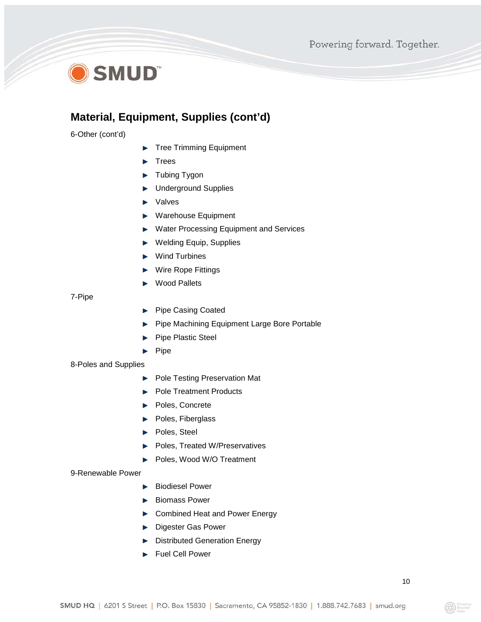

#### **Material, Equipment, Supplies (cont'd)**

6-Other (cont'd)

- Tree Trimming Equipment
- Trees
- Tubing Tygon
- Underground Supplies Þ
- **>** Valves
- **EXA** Warehouse Equipment
- ▶ Water Processing Equipment and Services
- ▶ Welding Equip, Supplies
- ▶ Wind Turbines
- ▶ Wire Rope Fittings
- Wood Pallets

7-Pipe

- Pipe Casing Coated b.
- Pipe Machining Equipment Large Bore Portable
- Pipe Plastic Steel
- $\blacktriangleright$  Pipe

8-Poles and Supplies

- Pole Testing Preservation Mat
- Pole Treatment Products
- Poles, Concrete
- Poles, Fiberglass
- Poles, Steel
- Poles, Treated W/Preservatives h.
- Poles, Wood W/O Treatment

#### 9-Renewable Power

- **Biodiesel Power**
- **Biomass Power**
- ▶ Combined Heat and Power Energy
- **Digester Gas Power**
- Distributed Generation Energy
- Fuel Cell Power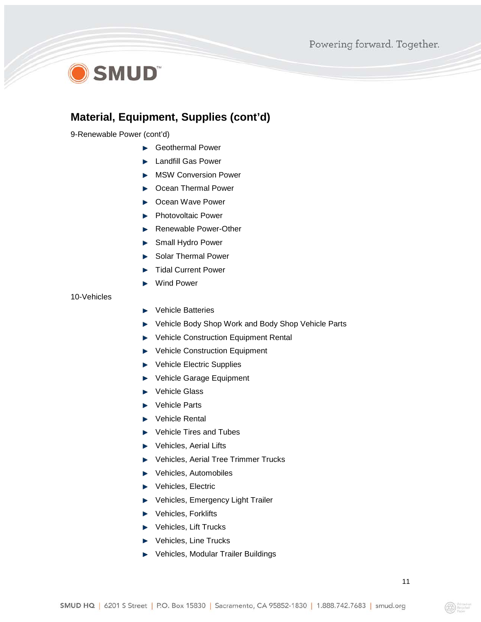## O SMUD<sup>®</sup>

### **Material, Equipment, Supplies (cont'd)**

9-Renewable Power (cont'd)

- Geothermal Power
- **Landfill Gas Power**
- **MSW Conversion Power**
- ▶ Ocean Thermal Power
- ▶ Ocean Wave Power
- **Photovoltaic Power**
- Renewable Power-Other
- Small Hydro Power
- Solar Thermal Power
- Tidal Current Power
- Wind Power

10-Vehicles

- Vehicle Batteries ь
- Vehicle Body Shop Work and Body Shop Vehicle Parts
- ▶ Vehicle Construction Equipment Rental
- ▶ Vehicle Construction Equipment
- Vehicle Electric Supplies
- Vehicle Garage Equipment h.
- Vehicle Glass
- Vehicle Parts
- ▶ Vehicle Rental
- ▶ Vehicle Tires and Tubes
- Vehicles, Aerial Lifts
- ▶ Vehicles, Aerial Tree Trimmer Trucks
- **EXAMPLE Vehicles, Automobiles**
- ▶ Vehicles, Electric
- ▶ Vehicles, Emergency Light Trailer
- **EXA** Vehicles, Forklifts
- ▶ Vehicles, Lift Trucks
- ▶ Vehicles, Line Trucks
- ▶ Vehicles, Modular Trailer Buildings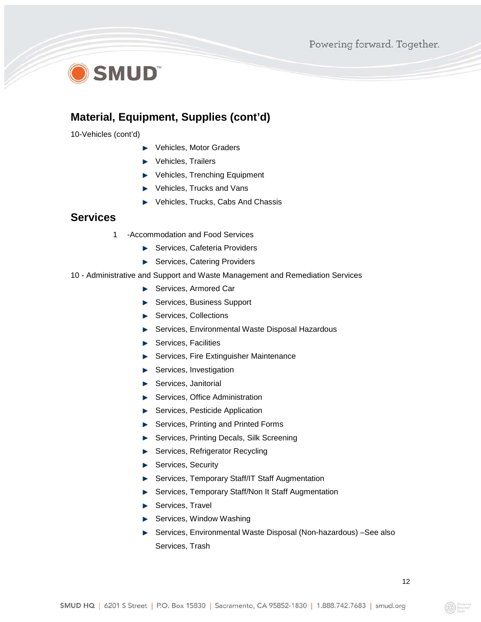## **SMUD**

### **Material, Equipment, Supplies (cont'd)**

10-Vehicles (cont'd)

- Vehicles, Motor Graders
- ▶ Vehicles, Trailers
- ▶ Vehicles, Trenching Equipment
- ▶ Vehicles, Trucks and Vans
- ▶ Vehicles, Trucks, Cabs And Chassis

#### **Services**

- 1 -Accommodation and Food Services
	- ▶ Services, Cafeteria Providers
	- Services, Catering Providers
- 10 Administrative and Support and Waste Management and Remediation Services
	- Services, Armored Car
	- ▶ Services, Business Support
	- Services, Collections
	- ▶ Services, Environmental Waste Disposal Hazardous
	- Services, Facilities
	- Services, Fire Extinguisher Maintenance
	- Services, Investigation
	- Services, Janitorial
	- Services, Office Administration
	- Services, Pesticide Application
	- ▶ Services, Printing and Printed Forms
	- ▶ Services, Printing Decals, Silk Screening
	- Services, Refrigerator Recycling
	- Services, Security
	- Services, Temporary Staff/IT Staff Augmentation  $\mathbf{r}$
	- ▶ Services, Temporary Staff/Non It Staff Augmentation
	- Services, Travel
	- $\blacktriangleright$  Services, Window Washing
	- ▶ Services, Environmental Waste Disposal (Non-hazardous) -See also Services, Trash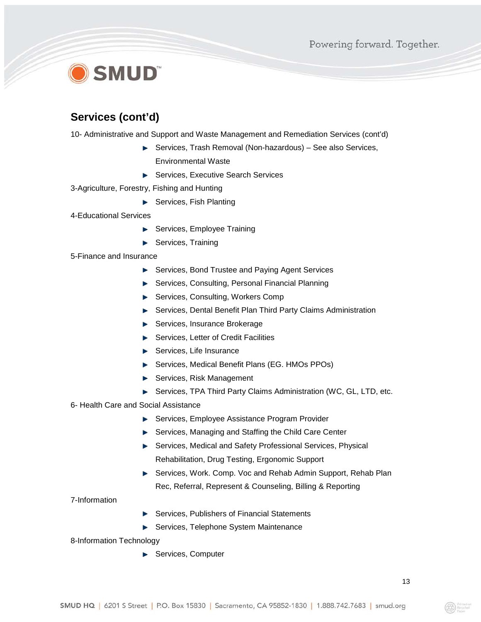# **SMUD**

### **Services (cont'd)**

10- Administrative and Support and Waste Management and Remediation Services (cont'd)

- ▶ Services, Trash Removal (Non-hazardous) See also Services, Environmental Waste
- ▶ Services, Executive Search Services
- 3-Agriculture, Forestry, Fishing and Hunting
	- Services, Fish Planting
- 4-Educational Services
	- Services, Employee Training
	- Services, Training

5-Finance and Insurance

- ▶ Services, Bond Trustee and Paying Agent Services
- ▶ Services, Consulting, Personal Financial Planning
- ▶ Services, Consulting, Workers Comp
- Services, Dental Benefit Plan Third Party Claims Administration
- Services, Insurance Brokerage
- Services, Letter of Credit Facilities
- Services, Life Insurance
- ▶ Services, Medical Benefit Plans (EG. HMOs PPOs)
- Services, Risk Management
- ▶ Services, TPA Third Party Claims Administration (WC, GL, LTD, etc.
- 6- Health Care and Social Assistance
	- Services, Employee Assistance Program Provider
	- ▶ Services, Managing and Staffing the Child Care Center
	- Services, Medical and Safety Professional Services, Physical Rehabilitation, Drug Testing, Ergonomic Support
	- ▶ Services, Work. Comp. Voc and Rehab Admin Support, Rehab Plan Rec, Referral, Represent & Counseling, Billing & Reporting

#### 7-Information

- ▶ Services, Publishers of Financial Statements
- Services, Telephone System Maintenance

8-Information Technology

Services, Computer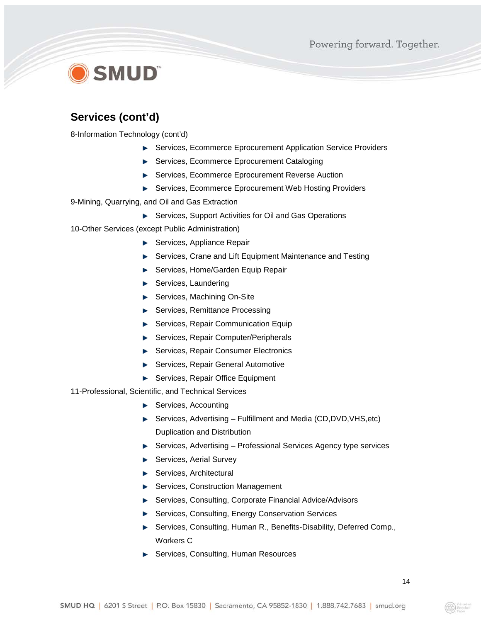# **D** SMUD®

### **Services (cont'd)**

8-Information Technology (cont'd)

- ▶ Services, Ecommerce Eprocurement Application Service Providers
- ▶ Services, Ecommerce Eprocurement Cataloging
- ▶ Services, Ecommerce Eprocurement Reverse Auction
- ▶ Services, Ecommerce Eprocurement Web Hosting Providers

9-Mining, Quarrying, and Oil and Gas Extraction

- Services, Support Activities for Oil and Gas Operations
- 10-Other Services (except Public Administration)
	- ▶ Services, Appliance Repair
	- ▶ Services, Crane and Lift Equipment Maintenance and Testing
	- ▶ Services, Home/Garden Equip Repair
	- Services, Laundering
	- ▶ Services, Machining On-Site
	- Services, Remittance Processing
	- Services, Repair Communication Equip
	- ▶ Services, Repair Computer/Peripherals
	- ▶ Services, Repair Consumer Electronics
	- Services, Repair General Automotive
	- Services, Repair Office Equipment

#### 11-Professional, Scientific, and Technical Services

- Services, Accounting
- ▶ Services, Advertising Fulfillment and Media (CD,DVD, VHS, etc) Duplication and Distribution
- ▶ Services, Advertising Professional Services Agency type services
- Services, Aerial Survey
- Services, Architectural
- ▶ Services, Construction Management
- ▶ Services, Consulting, Corporate Financial Advice/Advisors
- **Services, Consulting, Energy Conservation Services**
- Services, Consulting, Human R., Benefits-Disability, Deferred Comp., Workers C
- ▶ Services, Consulting, Human Resources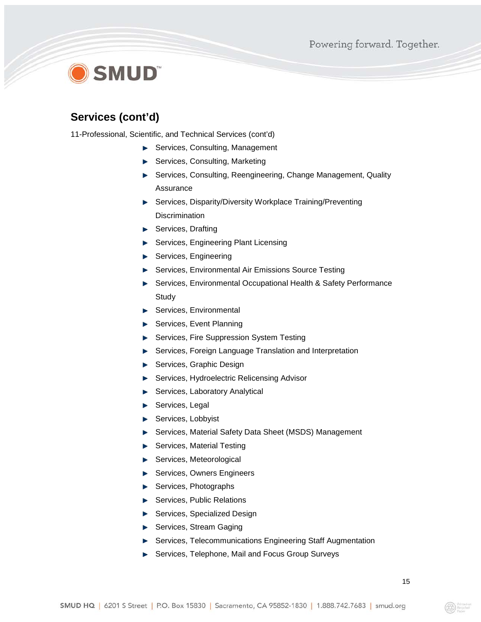# **SMUD**

### **Services (cont'd)**

11-Professional, Scientific, and Technical Services (cont'd)

- ▶ Services, Consulting, Management
- ▶ Services, Consulting, Marketing
- Services, Consulting, Reengineering, Change Management, Quality Assurance
- Services, Disparity/Diversity Workplace Training/Preventing **Discrimination**
- Services, Drafting
- Services, Engineering Plant Licensing
- Services, Engineering
- ▶ Services, Environmental Air Emissions Source Testing
- Services, Environmental Occupational Health & Safety Performance **Study**
- Services, Environmental
- Services, Event Planning
- Services, Fire Suppression System Testing
- **Services, Foreign Language Translation and Interpretation**
- Services, Graphic Design
- Services, Hydroelectric Relicensing Advisor
- Services, Laboratory Analytical
- Services, Legal
- Services, Lobbyist
- ▶ Services, Material Safety Data Sheet (MSDS) Management
- Services, Material Testing **Designation**
- Services, Meteorological
- Services, Owners Engineers
- Services, Photographs
- ▶ Services, Public Relations
- Services, Specialized Design
- Services, Stream Gaging
- **Services, Telecommunications Engineering Staff Augmentation**
- Services, Telephone, Mail and Focus Group Surveys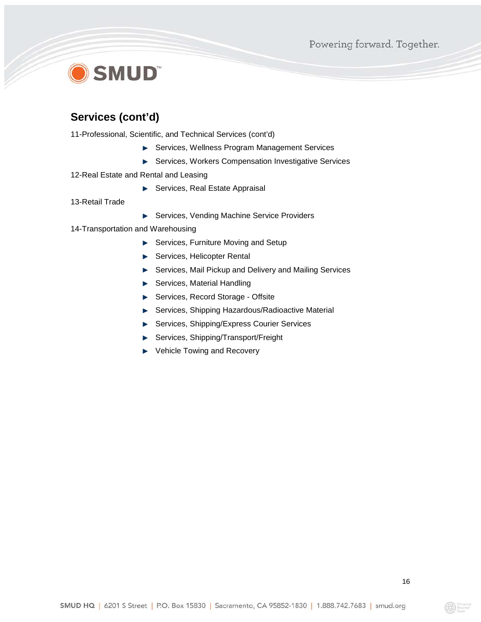# **SMUD**

### **Services (cont'd)**

11-Professional, Scientific, and Technical Services (cont'd)

- **Services, Wellness Program Management Services**
- **Services, Workers Compensation Investigative Services**
- 12-Real Estate and Rental and Leasing
	- ▶ Services, Real Estate Appraisal
- 13-Retail Trade
- Services, Vending Machine Service Providers
- 14-Transportation and Warehousing
	- Services, Furniture Moving and Setup
	- Services, Helicopter Rental
	- ▶ Services, Mail Pickup and Delivery and Mailing Services
	- Services, Material Handling
	- ▶ Services, Record Storage Offsite
	- Services, Shipping Hazardous/Radioactive Material
	- **Services, Shipping/Express Courier Services**
	- Services, Shipping/Transport/Freight
	- ▶ Vehicle Towing and Recovery